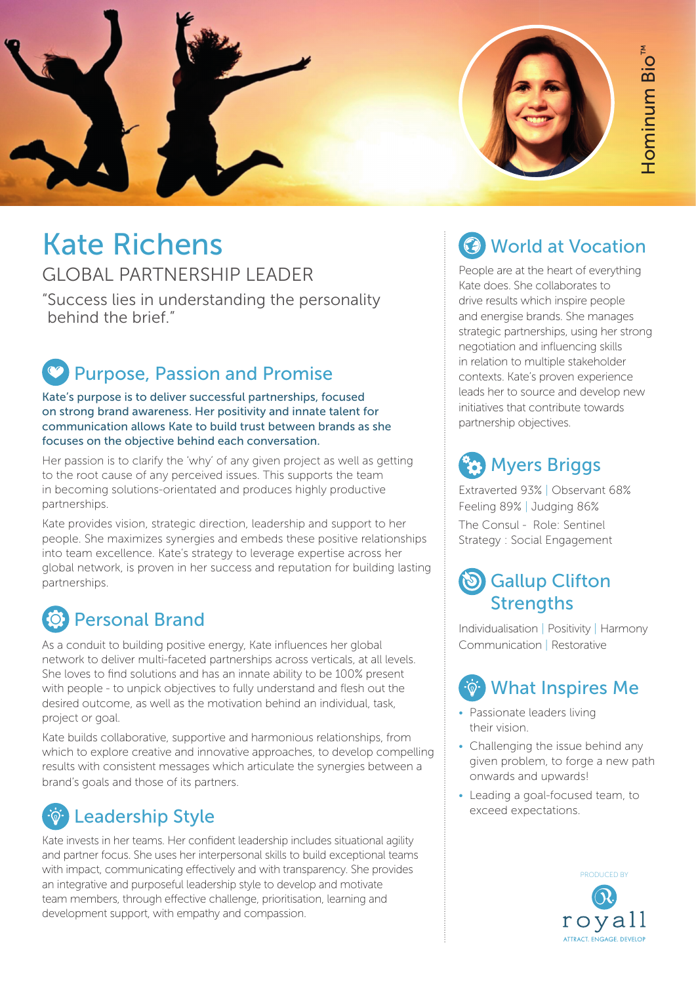

# Kate Richens

#### GLOBAL PARTNERSHIP LEADER

"Success lies in understanding the personality behind the brief."

# Purpose, Passion and Promise

Kate's purpose is to deliver successful partnerships, focused on strong brand awareness. Her positivity and innate talent for communication allows Kate to build trust between brands as she focuses on the objective behind each conversation.

Her passion is to clarify the 'why' of any given project as well as getting to the root cause of any perceived issues. This supports the team in becoming solutions-orientated and produces highly productive partnerships.

Kate provides vision, strategic direction, leadership and support to her people. She maximizes synergies and embeds these positive relationships into team excellence. Kate's strategy to leverage expertise across her global network, is proven in her success and reputation for building lasting partnerships.

## Personal Brand

As a conduit to building positive energy, Kate influences her global network to deliver multi-faceted partnerships across verticals, at all levels. She loves to find solutions and has an innate ability to be 100% present with people - to unpick objectives to fully understand and flesh out the desired outcome, as well as the motivation behind an individual, task, project or goal.

Kate builds collaborative, supportive and harmonious relationships, from which to explore creative and innovative approaches, to develop compelling results with consistent messages which articulate the synergies between a brand's goals and those of its partners.

### Leadership Style

Kate invests in her teams. Her confident leadership includes situational agility and partner focus. She uses her interpersonal skills to build exceptional teams with impact, communicating effectively and with transparency. She provides an integrative and purposeful leadership style to develop and motivate team members, through effective challenge, prioritisation, learning and development support, with empathy and compassion.

### World at Vocation

People are at the heart of everything Kate does. She collaborates to drive results which inspire people and energise brands. She manages strategic partnerships, using her strong negotiation and influencing skills in relation to multiple stakeholder contexts. Kate's proven experience leads her to source and develop new initiatives that contribute towards partnership objectives.

### **(2)** Myers Briggs

Extraverted 93% | Observant 68% Feeling 89% | Judging 86% The Consul - Role: Sentinel Strategy : Social Engagement

#### **S** Gallup Clifton **Strengths**

Individualisation | Positivity | Harmony Communication | Restorative

## What Inspires Me

- Passionate leaders living their vision.
- Challenging the issue behind any given problem, to forge a new path onwards and upwards!
- Leading a goal-focused team, to exceed expectations.